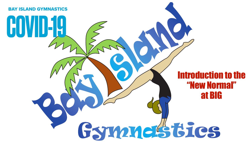

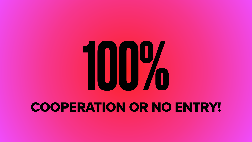

### COOPERATION OR NO ENTRY!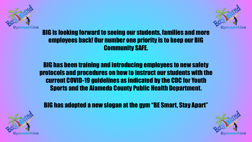

### BIG is looking forward to seeing our students, families and more employees back! Our number one priority is to keep our BIG Community SAFE.

BIG has been training and introducing employees to new safety protocols and procedures on how to instruct our students with the current COVID-19 guidelines as indicated by the CDC for Youth Sports and the Alameda County Public Health Department.



BIG has adopted a new slogan at the gym "BE Smart, Stay Apart"



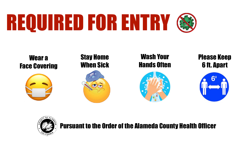# REQUIRED FOR ENTRY

#### Pursuant to the Order of the Alameda County Health Officer

#### Please Keep 6 ft. Apart



### Wash Your Hands Often



#### Stay Home When Sick









#### Wear a Face Covering

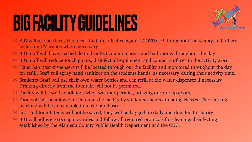## BIG FACILITY GUIDELINES

- including UV wands where necessary.
- \* BIG Staff will have a schedule to disinfect common areas and bathrooms throughout the day.
- BIG Staff will reduce touch points, disinfect all equipment and contact surfaces in the activity area.
- \* Hand Sanitizer dispensers will be located through out the facility and monitored throughout the day for refill. Staff will spray hand sanitizer on the students hands, as necessary, during their activity time.
- Students/Staff will use their own water bottles and can refill at the water dispenser if necessary. Drinking directly from the fountain will not be permitted.
- Facility will be well ventilated, when weather permits, utilizing our roll up doors.
- \* Food will not be allowed or eaten in the facility by students/clients attending classes. The vending machine will be unavailable to make purchases.
- Lost and found items will not be saved, they will be bagged up daily and donated to charity.
- \* BIG will adhere to occupancy rules and follow all required protocols for cleaning/disinfecting established by the Alameda County Public Health Department and the CDC.



\* BIG will use products/chemicals that are effective against COVID-19 throughout the facility and offices,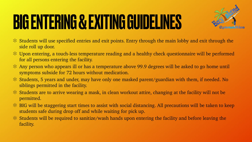## BIG ENTERING & EXITING GUIDELINES

- \* Students will use specified entries and exit points. Entry through the main lobby and exit through the side roll up door.
- Upon entering, a touch-less temperature reading and a healthy check questionnaire will be performed for all persons entering the facility.
- Any person who appears ill or has a temperature above 99.9 degrees will be asked to go home until symptoms subside for 72 hours without medication.
- Students, 5 years and under, may have only one masked parent/guardian with them, if needed. No siblings permitted in the facility.
- Students are to arrive wearing a mask, in clean workout attire, changing at the facility will not be permitted.
- \* BIG will be staggering start times to assist with social distancing. All precautions will be taken to keep students safe during drop off and while waiting for pick up.
- Students will be required to sanitize/wash hands upon entering the facility and before leaving the facility.

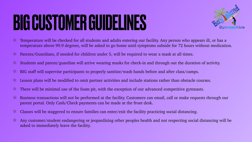## BIG CUSTOMER GUIDELINES

- Temperature will be checked for all students and adults entering our facility. Any person who appears ill, or has a  $\ast$ temperature above 99.9 degrees, will be asked to go home until symptoms subside for 72 hours without medication.
- $\ast$ Parents/Guardians, if needed for children under 5, will be required to wear a mask at all times.
- $\ast$ Students and parent/guardian will arrive wearing masks for check-in and through out the duration of activity.
- BIG staff will supervise participants to properly sanitize/wash hands before and after class/camps.  $\ast$
- Lesson plans will be modified to omit partner activities and include stations rather than obstacle courses.  $\ast$
- There will be minimal use of the foam pit, with the exception of our advanced competitive gymnasts.  $\ast$
- Business transactions will not be performed at the facility. Customers can email, call or make requests through our  $\ast$ parent portal. Only Cash/Check payments can be made at the front desk.
- Classes will be staggered to ensure families can enter/exit the facility practicing social distancing.  $\ast$
- Any customer/student endangering or jeopardizing other peoples health and not respecting social distancing will be asked to immediately leave the facility.

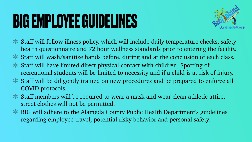### **BIG EMPLOYEE GUIDELINES**

Staff will follow illness policy, which will include daily temperature checks, safety health questionnaire and 72 hour wellness standards prior to entering the facility. Staff will wash/sanitize hands before, during and at the conclusion of each class. recreational students will be limited to necessity and if a child is at risk of injury. Staff will be diligently trained on new procedures and be prepared to enforce all

\* Staff members will be required to wear a mask and wear clean athletic attire,

- 
- 
- Staff will have limited direct physical contact with children. Spotting of
- COVID protocols.
- street clothes will not be permitted.
- regarding employee travel, potential risky behavior and personal safety.



BIG will adhere to the Alameda County Public Health Department's guidelines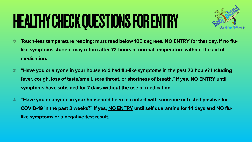### HEALTHY CHECK QUESTIONS FOR ENTRY

- **Touch-less temperature reading; must read below 100 degrees. NO ENTRY for that day, if no flu-** $\ast$ **like symptoms student may return after 72-hours of normal temperature without the aid of medication.**
- **"Have you or anyone in your household had flu-like symptoms in the past 72 hours? Including**   $\ast$ **fever, cough, loss of taste/smell, sore throat, or shortness of breath." If yes, NO ENTRY until symptoms have subsided for 7 days without the use of medication.**
- **"Have you or anyone in your household been in contact with someone or tested positive for**   $*$ **COVID-19 in the past 2 weeks?" If yes, NO ENTRY until self quarantine for 14 days and NO flulike symptoms or a negative test result.**

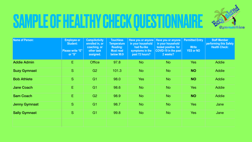## SAMPLE OF HEALTHY CHECK QUESTIONNAIRE

| <b>Name of Person:</b> | <b>Employee or</b><br><b>Student:</b><br><b>Please write "E"</b><br>or "S" | <b>Camp/Activity</b><br>enrolled in, or<br>coaching, or<br>other task<br>assigned. | <b>Touchless</b><br><b>Temperature</b><br><b>Reading:</b><br><b>Must read</b><br><b>below 99.9</b> | Have you or anyone<br>in your household<br>had flu-like<br>symptoms in the<br>past 72 hours? | Have you or anyone<br>in your household<br>tested positive for<br><b>COVID-19 in the past</b><br>2 weeks? | <b>Permitted Entry</b><br><b>Write</b><br>YES or NO | <b>Staff Member</b><br>performing this Safety<br><b>Health Check:</b> |
|------------------------|----------------------------------------------------------------------------|------------------------------------------------------------------------------------|----------------------------------------------------------------------------------------------------|----------------------------------------------------------------------------------------------|-----------------------------------------------------------------------------------------------------------|-----------------------------------------------------|-----------------------------------------------------------------------|
| <b>Addie Admin</b>     | E                                                                          | <b>Office</b>                                                                      | 97.8                                                                                               | <b>No</b>                                                                                    | <b>No</b>                                                                                                 | <b>Yes</b>                                          | <b>Addie</b>                                                          |
| <b>Suzy Gymnast</b>    | S                                                                          | G <sub>2</sub>                                                                     | 101.3                                                                                              | <b>No</b>                                                                                    | <b>No</b>                                                                                                 | <b>NO</b>                                           | <b>Addie</b>                                                          |
| <b>Bob Athlete</b>     | S                                                                          | G <sub>1</sub>                                                                     | 98.0                                                                                               | <b>Yes</b>                                                                                   | <b>No</b>                                                                                                 | <b>NO</b>                                           | <b>Addie</b>                                                          |
| <b>Jane Coach</b>      | E                                                                          | G <sub>1</sub>                                                                     | 98.6                                                                                               | <b>No</b>                                                                                    | <b>No</b>                                                                                                 | Yes                                                 | <b>Addie</b>                                                          |
| <b>Sam Coach</b>       | E.                                                                         | G <sub>2</sub>                                                                     | 98.9                                                                                               | <b>No</b>                                                                                    | <b>No</b>                                                                                                 | <b>NO</b>                                           | Addie                                                                 |
| <b>Jenny Gymnast</b>   | S                                                                          | G <sub>1</sub>                                                                     | 98.7                                                                                               | <b>No</b>                                                                                    | <b>No</b>                                                                                                 | <b>Yes</b>                                          | Jane                                                                  |
| <b>Sally Gymnast</b>   | S                                                                          | G <sub>1</sub>                                                                     | 99.8                                                                                               | <b>No</b>                                                                                    | <b>No</b>                                                                                                 | <b>Yes</b>                                          | Jane                                                                  |
|                        |                                                                            |                                                                                    |                                                                                                    |                                                                                              |                                                                                                           |                                                     |                                                                       |